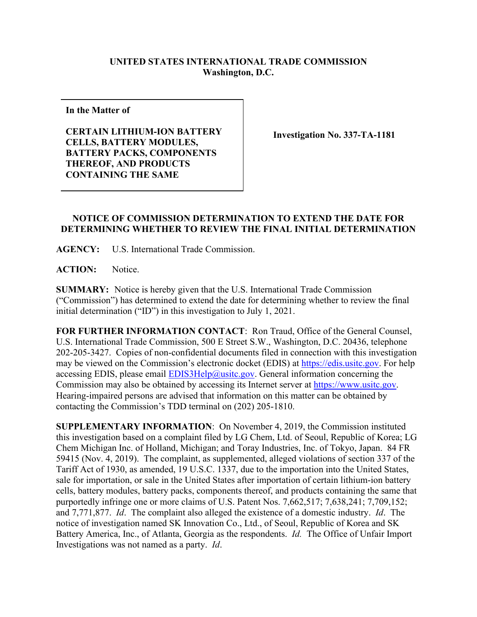## **UNITED STATES INTERNATIONAL TRADE COMMISSION Washington, D.C.**

**In the Matter of**

**CERTAIN LITHIUM-ION BATTERY CELLS, BATTERY MODULES, BATTERY PACKS, COMPONENTS THEREOF, AND PRODUCTS CONTAINING THE SAME**

**Investigation No. 337-TA-1181**

## **NOTICE OF COMMISSION DETERMINATION TO EXTEND THE DATE FOR DETERMINING WHETHER TO REVIEW THE FINAL INITIAL DETERMINATION**

**AGENCY:** U.S. International Trade Commission.

**ACTION:** Notice.

**SUMMARY:** Notice is hereby given that the U.S. International Trade Commission ("Commission") has determined to extend the date for determining whether to review the final initial determination ("ID") in this investigation to July 1, 2021.

**FOR FURTHER INFORMATION CONTACT**: Ron Traud, Office of the General Counsel, U.S. International Trade Commission, 500 E Street S.W., Washington, D.C. 20436, telephone 202-205-3427. Copies of non-confidential documents filed in connection with this investigation may be viewed on the Commission's electronic docket (EDIS) at [https://edis.usitc.gov.](https://edis.usitc.gov/) For help accessing EDIS, please email  $EDIS3Help@usite.gov$ . General information concerning the Commission may also be obtained by accessing its Internet server at [https://www.usitc.gov.](https://www.usitc.gov/) Hearing-impaired persons are advised that information on this matter can be obtained by contacting the Commission's TDD terminal on (202) 205-1810.

**SUPPLEMENTARY INFORMATION**: On November 4, 2019, the Commission instituted this investigation based on a complaint filed by LG Chem, Ltd. of Seoul, Republic of Korea; LG Chem Michigan Inc. of Holland, Michigan; and Toray Industries, Inc. of Tokyo, Japan. 84 FR 59415 (Nov. 4, 2019). The complaint, as supplemented, alleged violations of section 337 of the Tariff Act of 1930, as amended, 19 U.S.C. 1337, due to the importation into the United States, sale for importation, or sale in the United States after importation of certain lithium-ion battery cells, battery modules, battery packs, components thereof, and products containing the same that purportedly infringe one or more claims of U.S. Patent Nos. 7,662,517; 7,638,241; 7,709,152; and 7,771,877. *Id*. The complaint also alleged the existence of a domestic industry. *Id*. The notice of investigation named SK Innovation Co., Ltd., of Seoul, Republic of Korea and SK Battery America, Inc., of Atlanta, Georgia as the respondents. *Id.* The Office of Unfair Import Investigations was not named as a party. *Id*.